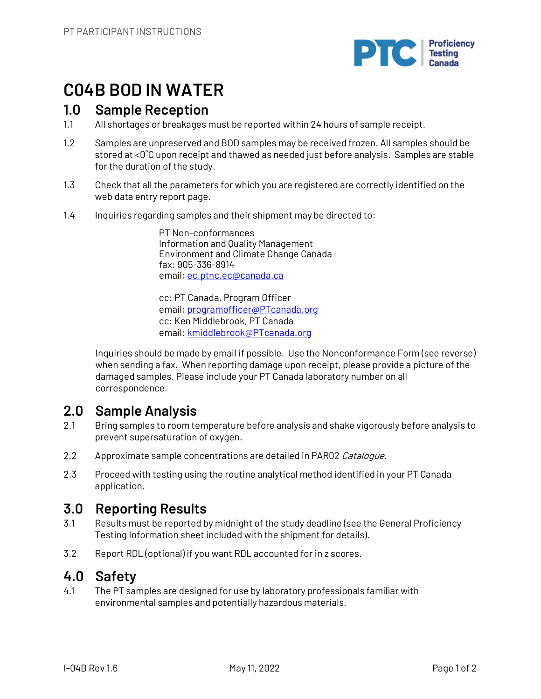

# **C04B BOD IN WATER**

## **1.0 Sample Reception**

- 1.1 All shortages or breakages must be reported within 24 hours of sample receipt.
- 1.2 Samples are unpreserved and BOD samples may be received frozen. All samples should be stored at <0˚C upon receipt and thawed as needed just before analysis. Samples are stable for the duration of the study.
- 1.3 Check that all the parameters for which you are registered are correctly identified on the web data entry report page.
- 1.4 Inquiries regarding samples and their shipment may be directed to:

PT Non-conformances Information and Quality Management Environment and Climate Change Canada fax: 905-336-8914 email: ec.ptnc.ec@canada.ca

cc: PT Canada, Program Officer email: programofficer@PTcanada.org cc: Ken Middlebrook, PT Canada email: kmiddlebrook@PTcanada.org

Inquiries should be made by email if possible. Use the Nonconformance Form (see reverse) when sending a fax. When reporting damage upon receipt, please provide a picture of the damaged samples. Please include your PT Canada laboratory number on all correspondence.

# **2.0 Sample Analysis**

- 2.1 Bring samples to room temperature before analysis and shake vigorously before analysis to prevent supersaturation of oxygen.
- 2.2 Approximate sample concentrations are detailed in PAR02 Catalogue.
- 2.3 Proceed with testing using the routine analytical method identified in your PT Canada application.

# **3.0 Reporting Results**

- 3.1 Results must be reported by midnight of the study deadline (see the General Proficiency Testing Information sheet included with the shipment for details).
- 3.2 Report RDL (optional) if you want RDL accounted for in z scores.

# **4.0 Safety**

4.1 The PT samples are designed for use by laboratory professionals familiar with environmental samples and potentially hazardous materials.